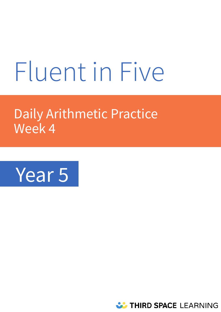# Fluent in Five

# Daily Arithmetic Practice Week 4



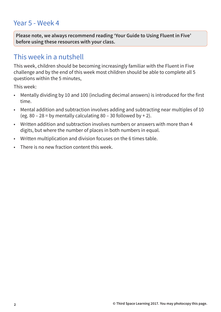## Year 5 - Week 4

**Please note, we always recommend reading 'Your Guide to Using Fluent in Five' before using these resources with your class.** 

### This week in a nutshell

This week, children should be becoming increasingly familiar with the Fluent in Five challenge and by the end of this week most children should be able to complete all 5 questions within the 5 minutes,

This week:

- Mentally dividing by 10 and 100 (including decimal answers) is introduced for the first time.
- Mental addition and subtraction involves adding and subtracting near multiples of 10 (eg. 80 – 28 = by mentally calculating 80 – 30 followed by + 2).
- Written addition and subtraction involves numbers or answers with more than 4 digits, but where the number of places in both numbers in equal.
- Written multiplication and division focuses on the 6 times table.
- There is no new fraction content this week.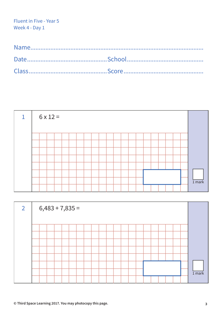| 1 |  | $6 \times 12 =$ |  |  |  |  |  |  |  |  |  |          |
|---|--|-----------------|--|--|--|--|--|--|--|--|--|----------|
|   |  |                 |  |  |  |  |  |  |  |  |  |          |
|   |  |                 |  |  |  |  |  |  |  |  |  |          |
|   |  |                 |  |  |  |  |  |  |  |  |  |          |
|   |  |                 |  |  |  |  |  |  |  |  |  |          |
|   |  |                 |  |  |  |  |  |  |  |  |  |          |
|   |  |                 |  |  |  |  |  |  |  |  |  |          |
|   |  |                 |  |  |  |  |  |  |  |  |  |          |
|   |  |                 |  |  |  |  |  |  |  |  |  | $1$ mark |
|   |  |                 |  |  |  |  |  |  |  |  |  |          |

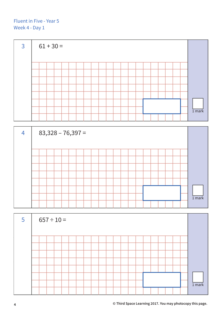



| $5\overline{5}$ | $657 \div 10 =$ |  |  |  |  |  |  |  |  |  |          |
|-----------------|-----------------|--|--|--|--|--|--|--|--|--|----------|
|                 |                 |  |  |  |  |  |  |  |  |  |          |
|                 |                 |  |  |  |  |  |  |  |  |  |          |
|                 |                 |  |  |  |  |  |  |  |  |  |          |
|                 |                 |  |  |  |  |  |  |  |  |  |          |
|                 |                 |  |  |  |  |  |  |  |  |  |          |
|                 |                 |  |  |  |  |  |  |  |  |  |          |
|                 |                 |  |  |  |  |  |  |  |  |  |          |
|                 |                 |  |  |  |  |  |  |  |  |  | $1$ mark |
|                 |                 |  |  |  |  |  |  |  |  |  |          |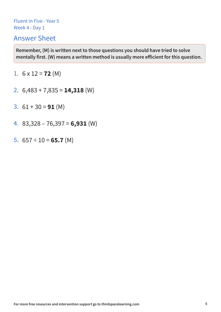#### Answer Sheet

- 1.  $6 \times 12 = 72$  (M)
- 2. 6,483 + 7,835 = **14,318** (W)
- 3.  $61 + 30 = 91$  (M)
- 4. 83,328 76,397 = **6,931** (W)
- 5.  $657 \div 10 = 65.7$  (M)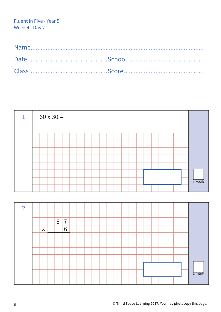| $\mathbf 1$    | $60 \times 30 =$ |   |   |  |  |  |  |  |  |  |  |                   |
|----------------|------------------|---|---|--|--|--|--|--|--|--|--|-------------------|
|                |                  |   |   |  |  |  |  |  |  |  |  |                   |
|                |                  |   |   |  |  |  |  |  |  |  |  |                   |
|                |                  |   |   |  |  |  |  |  |  |  |  |                   |
|                |                  |   |   |  |  |  |  |  |  |  |  |                   |
|                |                  |   |   |  |  |  |  |  |  |  |  |                   |
|                |                  |   |   |  |  |  |  |  |  |  |  |                   |
|                |                  |   |   |  |  |  |  |  |  |  |  |                   |
|                |                  |   |   |  |  |  |  |  |  |  |  | 1 <sub>mark</sub> |
|                |                  |   |   |  |  |  |  |  |  |  |  |                   |
|                |                  |   |   |  |  |  |  |  |  |  |  |                   |
| $\overline{2}$ |                  |   |   |  |  |  |  |  |  |  |  |                   |
|                |                  |   |   |  |  |  |  |  |  |  |  |                   |
|                |                  | 8 | 7 |  |  |  |  |  |  |  |  |                   |
|                | $\mathsf X$      |   | 6 |  |  |  |  |  |  |  |  |                   |
|                |                  |   |   |  |  |  |  |  |  |  |  |                   |
|                |                  |   |   |  |  |  |  |  |  |  |  |                   |
|                |                  |   |   |  |  |  |  |  |  |  |  |                   |
|                |                  |   |   |  |  |  |  |  |  |  |  |                   |
|                |                  |   |   |  |  |  |  |  |  |  |  |                   |
|                |                  |   |   |  |  |  |  |  |  |  |  | <b>I</b> mark     |
|                |                  |   |   |  |  |  |  |  |  |  |  |                   |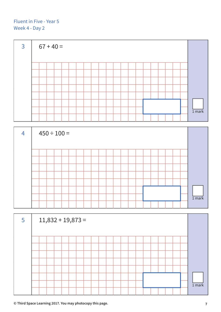



| $5\overline{)}$ |  |  |  | $11,832 + 19,873 =$ |  |  |  |  |  |  |  |          |
|-----------------|--|--|--|---------------------|--|--|--|--|--|--|--|----------|
|                 |  |  |  |                     |  |  |  |  |  |  |  |          |
|                 |  |  |  |                     |  |  |  |  |  |  |  |          |
|                 |  |  |  |                     |  |  |  |  |  |  |  |          |
|                 |  |  |  |                     |  |  |  |  |  |  |  |          |
|                 |  |  |  |                     |  |  |  |  |  |  |  |          |
|                 |  |  |  |                     |  |  |  |  |  |  |  |          |
|                 |  |  |  |                     |  |  |  |  |  |  |  | $1$ mark |
|                 |  |  |  |                     |  |  |  |  |  |  |  |          |

**© Third Space Learning 2017. You may photocopy this page. 7**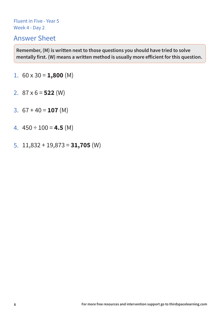#### Answer Sheet

- 1.  $60 \times 30 = 1,800 \, (M)$
- 2.  $87 \times 6 = 522$  (W)
- 3.  $67 + 40 = 107$  (M)
- 4.  $450 \div 100 = 4.5$  (M)
- 5. 11,832 + 19,873 = **31,705** (W)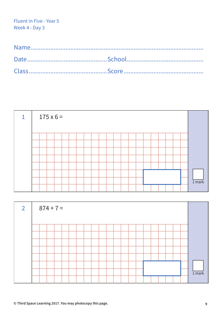|  | $175 \times 6 =$ |  |  |  |  |  |  |  |  |  |          |
|--|------------------|--|--|--|--|--|--|--|--|--|----------|
|  |                  |  |  |  |  |  |  |  |  |  |          |
|  |                  |  |  |  |  |  |  |  |  |  |          |
|  |                  |  |  |  |  |  |  |  |  |  |          |
|  |                  |  |  |  |  |  |  |  |  |  |          |
|  |                  |  |  |  |  |  |  |  |  |  |          |
|  |                  |  |  |  |  |  |  |  |  |  |          |
|  |                  |  |  |  |  |  |  |  |  |  | $1$ mark |
|  |                  |  |  |  |  |  |  |  |  |  |          |

| $\overline{2}$ | $874 + 7 =$ |  |  |  |  |  |  |  |  |  |          |
|----------------|-------------|--|--|--|--|--|--|--|--|--|----------|
|                |             |  |  |  |  |  |  |  |  |  |          |
|                |             |  |  |  |  |  |  |  |  |  |          |
|                |             |  |  |  |  |  |  |  |  |  |          |
|                |             |  |  |  |  |  |  |  |  |  |          |
|                |             |  |  |  |  |  |  |  |  |  |          |
|                |             |  |  |  |  |  |  |  |  |  |          |
|                |             |  |  |  |  |  |  |  |  |  | $1$ mark |
|                |             |  |  |  |  |  |  |  |  |  |          |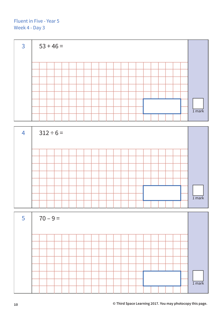



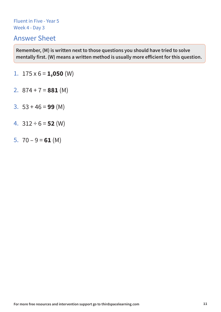#### Answer Sheet

- 1.  $175 \times 6 = 1,050$  (W)
- 2.  $874 + 7 = 881$  (M)
- 3. 53 + 46 = **99** (M)
- 4. 312 ÷ 6 = **52** (W)
- 5.  $70 9 = 61$  (M)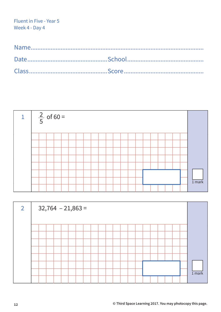

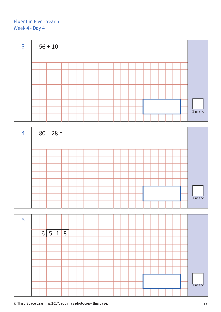

| $\overline{4}$ | $80 - 28 =$ |  |  |  |  |  |  |  |  |  |          |
|----------------|-------------|--|--|--|--|--|--|--|--|--|----------|
|                |             |  |  |  |  |  |  |  |  |  |          |
|                |             |  |  |  |  |  |  |  |  |  |          |
|                |             |  |  |  |  |  |  |  |  |  |          |
|                |             |  |  |  |  |  |  |  |  |  |          |
|                |             |  |  |  |  |  |  |  |  |  |          |
|                |             |  |  |  |  |  |  |  |  |  |          |
|                |             |  |  |  |  |  |  |  |  |  |          |
|                |             |  |  |  |  |  |  |  |  |  | $1$ mark |
|                |             |  |  |  |  |  |  |  |  |  |          |



**© Third Space Learning 2017. You may photocopy this page. 13**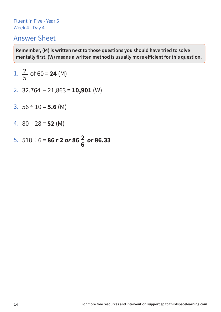#### Answer Sheet

1. 
$$
\frac{2}{5}
$$
 of 60 = **24** (M)

- 2. 32,764 21,863 = **10,901** (W)
- 3.  $56 \div 10 = 5.6$  (M)
- 4. 80 28 = **52** (M)
- 5.  $518 \div 6 = 86$  **r 2** *or* 86 $\frac{2}{6}$  *or* 86.33 **6**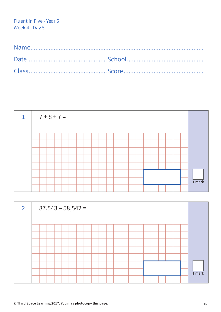| $\mathbf{1}$ | $7 + 8 + 7 =$ |  |  |  |  |  |  |  |  |  |  |  |  |  |  |  |  |  |                   |
|--------------|---------------|--|--|--|--|--|--|--|--|--|--|--|--|--|--|--|--|--|-------------------|
|              |               |  |  |  |  |  |  |  |  |  |  |  |  |  |  |  |  |  |                   |
|              |               |  |  |  |  |  |  |  |  |  |  |  |  |  |  |  |  |  |                   |
|              |               |  |  |  |  |  |  |  |  |  |  |  |  |  |  |  |  |  |                   |
|              |               |  |  |  |  |  |  |  |  |  |  |  |  |  |  |  |  |  |                   |
|              |               |  |  |  |  |  |  |  |  |  |  |  |  |  |  |  |  |  |                   |
|              |               |  |  |  |  |  |  |  |  |  |  |  |  |  |  |  |  |  |                   |
|              |               |  |  |  |  |  |  |  |  |  |  |  |  |  |  |  |  |  |                   |
|              |               |  |  |  |  |  |  |  |  |  |  |  |  |  |  |  |  |  | 1 <sub>mark</sub> |
|              |               |  |  |  |  |  |  |  |  |  |  |  |  |  |  |  |  |  |                   |

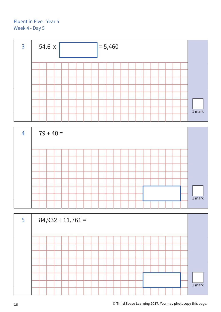| $\overline{3}$ | 54.6x<br>$= 5,460$ |  |  |  |  |  |  |  |  |  |  |  |  |  |  |  |  |          |
|----------------|--------------------|--|--|--|--|--|--|--|--|--|--|--|--|--|--|--|--|----------|
|                |                    |  |  |  |  |  |  |  |  |  |  |  |  |  |  |  |  |          |
|                |                    |  |  |  |  |  |  |  |  |  |  |  |  |  |  |  |  |          |
|                |                    |  |  |  |  |  |  |  |  |  |  |  |  |  |  |  |  |          |
|                |                    |  |  |  |  |  |  |  |  |  |  |  |  |  |  |  |  |          |
|                |                    |  |  |  |  |  |  |  |  |  |  |  |  |  |  |  |  | $1$ mark |

| $\overline{4}$ | $79 + 40 =$ |  |  |  |  |  |  |  |  |  |  |  |  |  |  |  |                   |  |  |
|----------------|-------------|--|--|--|--|--|--|--|--|--|--|--|--|--|--|--|-------------------|--|--|
|                |             |  |  |  |  |  |  |  |  |  |  |  |  |  |  |  |                   |  |  |
|                |             |  |  |  |  |  |  |  |  |  |  |  |  |  |  |  |                   |  |  |
|                |             |  |  |  |  |  |  |  |  |  |  |  |  |  |  |  |                   |  |  |
|                |             |  |  |  |  |  |  |  |  |  |  |  |  |  |  |  |                   |  |  |
|                |             |  |  |  |  |  |  |  |  |  |  |  |  |  |  |  |                   |  |  |
|                |             |  |  |  |  |  |  |  |  |  |  |  |  |  |  |  |                   |  |  |
|                |             |  |  |  |  |  |  |  |  |  |  |  |  |  |  |  |                   |  |  |
|                |             |  |  |  |  |  |  |  |  |  |  |  |  |  |  |  | 1 <sub>mark</sub> |  |  |
|                |             |  |  |  |  |  |  |  |  |  |  |  |  |  |  |  |                   |  |  |